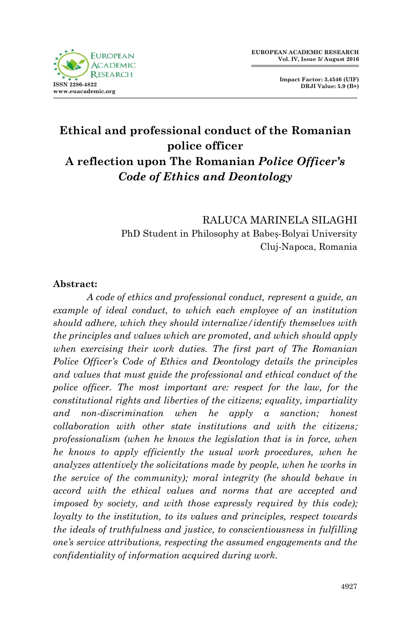

**Impact Factor: 3.4546 (UIF) DRJI Value: 5.9 (B+)**

# **Ethical and professional conduct of the Romanian police officer A reflection upon The Romanian** *Police Officer's Code of Ethics and Deontology*

RALUCA MARINELA SILAGHI PhD Student in Philosophy at Babeș-Bolyai University Cluj-Napoca, Romania

### **Abstract:**

*A code of ethics and professional conduct, represent a guide, an example of ideal conduct, to which each employee of an institution should adhere, which they should internalize/identify themselves with the principles and values which are promoted, and which should apply when exercising their work duties. The first part of The Romanian Police Officer's Code of Ethics and Deontology details the principles and values that must guide the professional and ethical conduct of the police officer. The most important are: respect for the law, for the constitutional rights and liberties of the citizens; equality, impartiality and non-discrimination when he apply a sanction; honest collaboration with other state institutions and with the citizens; professionalism (when he knows the legislation that is in force, when he knows to apply efficiently the usual work procedures, when he analyzes attentively the solicitations made by people, when he works in the service of the community); moral integrity (he should behave in accord with the ethical values and norms that are accepted and imposed by society, and with those expressly required by this code); loyalty to the institution, to its values and principles, respect towards the ideals of truthfulness and justice, to conscientiousness in fulfilling one's service attributions, respecting the assumed engagements and the confidentiality of information acquired during work.*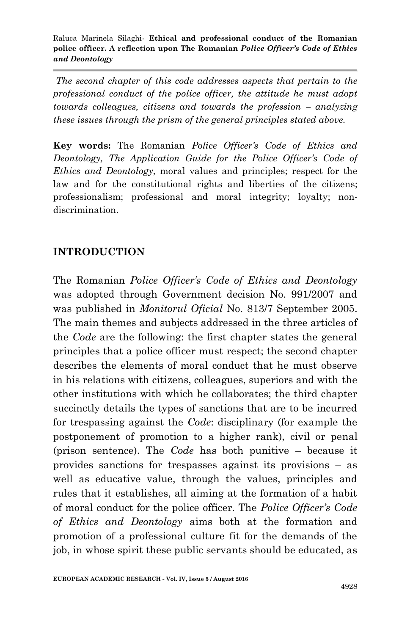*The second chapter of this code addresses aspects that pertain to the professional conduct of the police officer, the attitude he must adopt towards colleagues, citizens and towards the profession – analyzing these issues through the prism of the general principles stated above.*

**Key words:** The Romanian *Police Officer's Code of Ethics and Deontology, The Application Guide for the Police Officer's Code of Ethics and Deontology,* moral values and principles; respect for the law and for the constitutional rights and liberties of the citizens; professionalism; professional and moral integrity; loyalty; nondiscrimination.

### **INTRODUCTION**

The Romanian *Police Officer's Code of Ethics and Deontology* was adopted through Government decision No. 991/2007 and was published in *Monitorul Oficial* No. 813/7 September 2005. The main themes and subjects addressed in the three articles of the *Code* are the following: the first chapter states the general principles that a police officer must respect; the second chapter describes the elements of moral conduct that he must observe in his relations with citizens, colleagues, superiors and with the other institutions with which he collaborates; the third chapter succinctly details the types of sanctions that are to be incurred for trespassing against the *Code*: disciplinary (for example the postponement of promotion to a higher rank), civil or penal (prison sentence). The *Code* has both punitive – because it provides sanctions for trespasses against its provisions – as well as educative value, through the values, principles and rules that it establishes, all aiming at the formation of a habit of moral conduct for the police officer. The *Police Officer's Code of Ethics and Deontology* aims both at the formation and promotion of a professional culture fit for the demands of the job, in whose spirit these public servants should be educated, as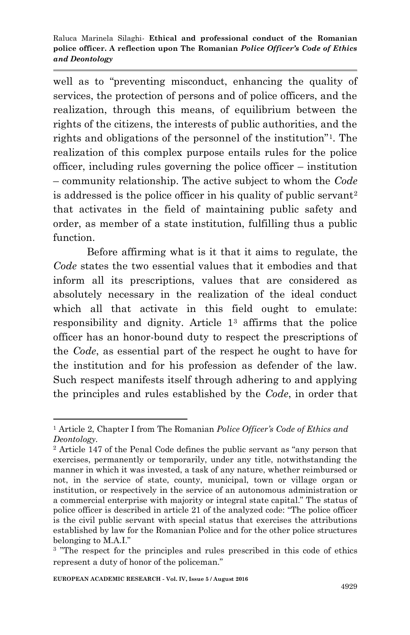well as to "preventing misconduct, enhancing the quality of services, the protection of persons and of police officers, and the realization, through this means, of equilibrium between the rights of the citizens, the interests of public authorities, and the rights and obligations of the personnel of the institution"<sup>1</sup> . The realization of this complex purpose entails rules for the police officer, including rules governing the police officer – institution – community relationship. The active subject to whom the *Code* is addressed is the police officer in his quality of public servant<sup>2</sup> that activates in the field of maintaining public safety and order, as member of a state institution, fulfilling thus a public function.

Before affirming what is it that it aims to regulate, the *Code* states the two essential values that it embodies and that inform all its prescriptions, values that are considered as absolutely necessary in the realization of the ideal conduct which all that activate in this field ought to emulate: responsibility and dignity. Article 1<sup>3</sup> affirms that the police officer has an honor-bound duty to respect the prescriptions of the *Code*, as essential part of the respect he ought to have for the institution and for his profession as defender of the law. Such respect manifests itself through adhering to and applying the principles and rules established by the *Code*, in order that

<sup>1</sup> <sup>1</sup> Article 2, Chapter I from The Romanian *Police Officer's Code of Ethics and Deontology.*

<sup>2</sup> Article 147 of the Penal Code defines the public servant as "any person that exercises, permanently or temporarily, under any title, notwithstanding the manner in which it was invested, a task of any nature, whether reimbursed or not, in the service of state, county, municipal, town or village organ or institution, or respectively in the service of an autonomous administration or a commercial enterprise with majority or integral state capital." The status of police officer is described in article 21 of the analyzed code: "The police officer is the civil public servant with special status that exercises the attributions established by law for the Romanian Police and for the other police structures belonging to M.A.I."

<sup>&</sup>lt;sup>3</sup> "The respect for the principles and rules prescribed in this code of ethics represent a duty of honor of the policeman."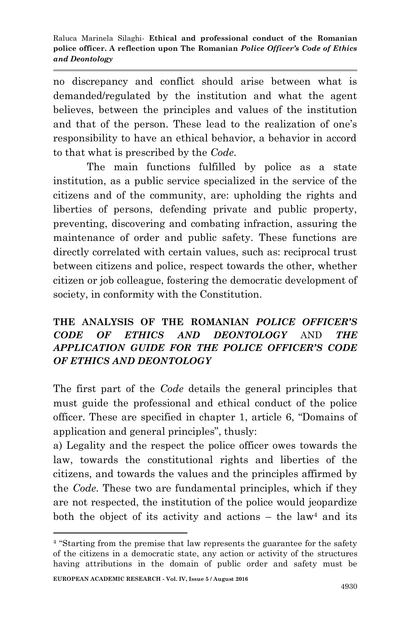no discrepancy and conflict should arise between what is demanded/regulated by the institution and what the agent believes, between the principles and values of the institution and that of the person. These lead to the realization of one's responsibility to have an ethical behavior, a behavior in accord to that what is prescribed by the *Code*.

The main functions fulfilled by police as a state institution, as a public service specialized in the service of the citizens and of the community, are: upholding the rights and liberties of persons, defending private and public property, preventing, discovering and combating infraction, assuring the maintenance of order and public safety. These functions are directly correlated with certain values, such as: reciprocal trust between citizens and police, respect towards the other, whether citizen or job colleague, fostering the democratic development of society, in conformity with the Constitution.

## **THE ANALYSIS OF THE ROMANIAN** *POLICE OFFICER'S CODE OF ETHICS AND DEONTOLOGY* AND *THE APPLICATION GUIDE FOR THE POLICE OFFICER'S CODE OF ETHICS AND DEONTOLOGY*

The first part of the *Code* details the general principles that must guide the professional and ethical conduct of the police officer. These are specified in chapter 1, article 6, "Domains of application and general principles", thusly:

a) Legality and the respect the police officer owes towards the law, towards the constitutional rights and liberties of the citizens, and towards the values and the principles affirmed by the *Code*. These two are fundamental principles, which if they are not respected, the institution of the police would jeopardize both the object of its activity and actions – the law<sup>4</sup> and its

<sup>4</sup> "Starting from the premise that law represents the guarantee for the safety of the citizens in a democratic state, any action or activity of the structures having attributions in the domain of public order and safety must be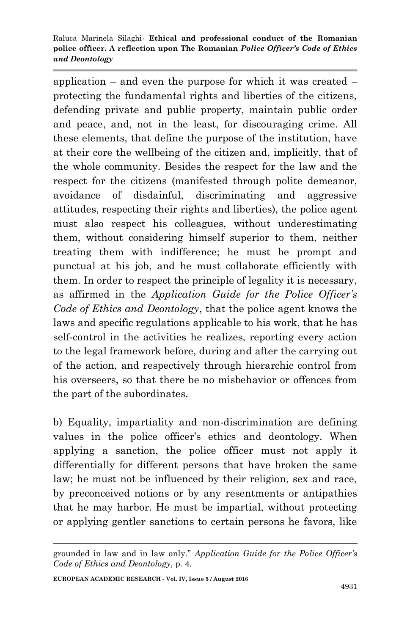application – and even the purpose for which it was created – protecting the fundamental rights and liberties of the citizens, defending private and public property, maintain public order and peace, and, not in the least, for discouraging crime. All these elements, that define the purpose of the institution, have at their core the wellbeing of the citizen and, implicitly, that of the whole community. Besides the respect for the law and the respect for the citizens (manifested through polite demeanor, avoidance of disdainful, discriminating and aggressive attitudes, respecting their rights and liberties), the police agent must also respect his colleagues, without underestimating them, without considering himself superior to them, neither treating them with indifference; he must be prompt and punctual at his job, and he must collaborate efficiently with them. In order to respect the principle of legality it is necessary, as affirmed in the *Application Guide for the Police Officer's Code of Ethics and Deontology*, that the police agent knows the laws and specific regulations applicable to his work, that he has self-control in the activities he realizes, reporting every action to the legal framework before, during and after the carrying out of the action, and respectively through hierarchic control from his overseers, so that there be no misbehavior or offences from the part of the subordinates.

b) Equality, impartiality and non-discrimination are defining values in the police officer's ethics and deontology. When applying a sanction, the police officer must not apply it differentially for different persons that have broken the same law; he must not be influenced by their religion, sex and race, by preconceived notions or by any resentments or antipathies that he may harbor. He must be impartial, without protecting or applying gentler sanctions to certain persons he favors, like

grounded in law and in law only." *Application Guide for the Police Officer's Code of Ethics and Deontology*, p. 4.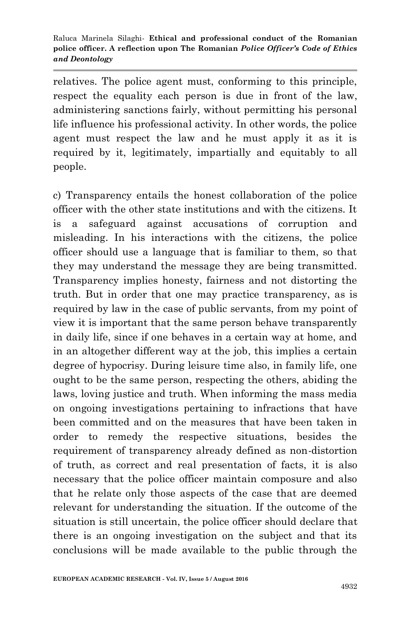relatives. The police agent must, conforming to this principle, respect the equality each person is due in front of the law, administering sanctions fairly, without permitting his personal life influence his professional activity. In other words, the police agent must respect the law and he must apply it as it is required by it, legitimately, impartially and equitably to all people.

c) Transparency entails the honest collaboration of the police officer with the other state institutions and with the citizens. It is a safeguard against accusations of corruption and misleading. In his interactions with the citizens, the police officer should use a language that is familiar to them, so that they may understand the message they are being transmitted. Transparency implies honesty, fairness and not distorting the truth. But in order that one may practice transparency, as is required by law in the case of public servants, from my point of view it is important that the same person behave transparently in daily life, since if one behaves in a certain way at home, and in an altogether different way at the job, this implies a certain degree of hypocrisy. During leisure time also, in family life, one ought to be the same person, respecting the others, abiding the laws, loving justice and truth. When informing the mass media on ongoing investigations pertaining to infractions that have been committed and on the measures that have been taken in order to remedy the respective situations, besides the requirement of transparency already defined as non-distortion of truth, as correct and real presentation of facts, it is also necessary that the police officer maintain composure and also that he relate only those aspects of the case that are deemed relevant for understanding the situation. If the outcome of the situation is still uncertain, the police officer should declare that there is an ongoing investigation on the subject and that its conclusions will be made available to the public through the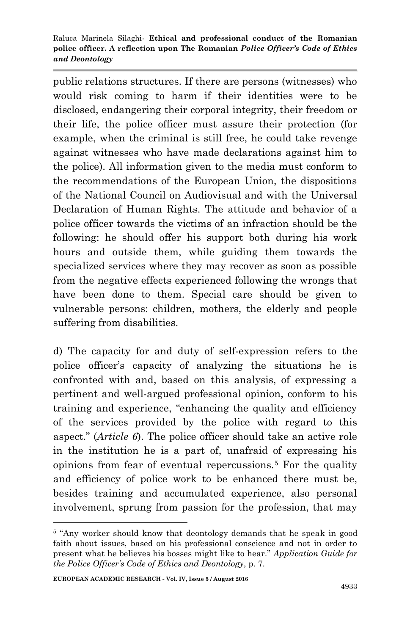public relations structures. If there are persons (witnesses) who would risk coming to harm if their identities were to be disclosed, endangering their corporal integrity, their freedom or their life, the police officer must assure their protection (for example, when the criminal is still free, he could take revenge against witnesses who have made declarations against him to the police). All information given to the media must conform to the recommendations of the European Union, the dispositions of the National Council on Audiovisual and with the Universal Declaration of Human Rights. The attitude and behavior of a police officer towards the victims of an infraction should be the following: he should offer his support both during his work hours and outside them, while guiding them towards the specialized services where they may recover as soon as possible from the negative effects experienced following the wrongs that have been done to them. Special care should be given to vulnerable persons: children, mothers, the elderly and people suffering from disabilities.

d) The capacity for and duty of self-expression refers to the police officer's capacity of analyzing the situations he is confronted with and, based on this analysis, of expressing a pertinent and well-argued professional opinion, conform to his training and experience, "enhancing the quality and efficiency of the services provided by the police with regard to this aspect." (*Article 6*). The police officer should take an active role in the institution he is a part of, unafraid of expressing his opinions from fear of eventual repercussions.<sup>5</sup> For the quality and efficiency of police work to be enhanced there must be, besides training and accumulated experience, also personal involvement, sprung from passion for the profession, that may

<sup>&</sup>lt;sup>5</sup> "Any worker should know that deontology demands that he speak in good faith about issues, based on his professional conscience and not in order to present what he believes his bosses might like to hear." *Application Guide for the Police Officer's Code of Ethics and Deontology*, p. 7.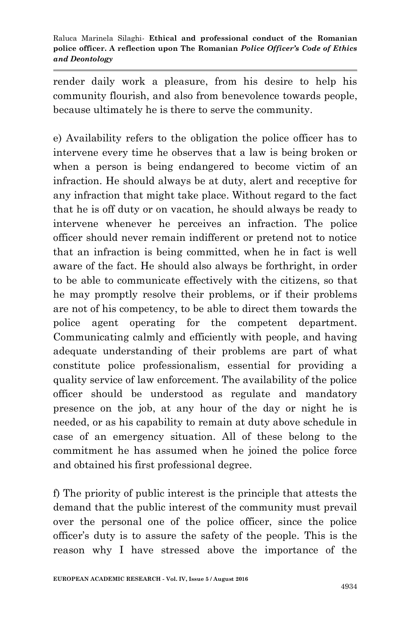render daily work a pleasure, from his desire to help his community flourish, and also from benevolence towards people, because ultimately he is there to serve the community.

e) Availability refers to the obligation the police officer has to intervene every time he observes that a law is being broken or when a person is being endangered to become victim of an infraction. He should always be at duty, alert and receptive for any infraction that might take place. Without regard to the fact that he is off duty or on vacation, he should always be ready to intervene whenever he perceives an infraction. The police officer should never remain indifferent or pretend not to notice that an infraction is being committed, when he in fact is well aware of the fact. He should also always be forthright, in order to be able to communicate effectively with the citizens, so that he may promptly resolve their problems, or if their problems are not of his competency, to be able to direct them towards the police agent operating for the competent department. Communicating calmly and efficiently with people, and having adequate understanding of their problems are part of what constitute police professionalism, essential for providing a quality service of law enforcement. The availability of the police officer should be understood as regulate and mandatory presence on the job, at any hour of the day or night he is needed, or as his capability to remain at duty above schedule in case of an emergency situation. All of these belong to the commitment he has assumed when he joined the police force and obtained his first professional degree.

f) The priority of public interest is the principle that attests the demand that the public interest of the community must prevail over the personal one of the police officer, since the police officer's duty is to assure the safety of the people. This is the reason why I have stressed above the importance of the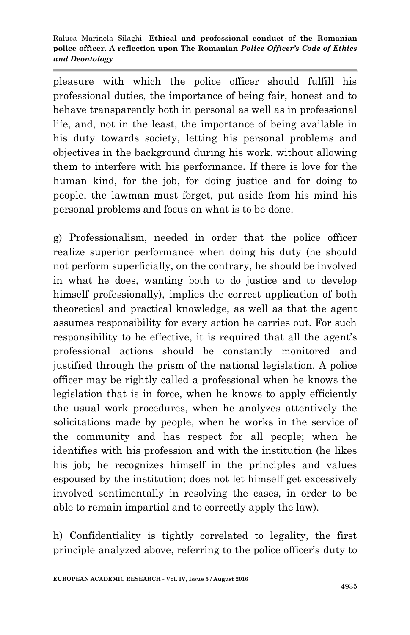pleasure with which the police officer should fulfill his professional duties, the importance of being fair, honest and to behave transparently both in personal as well as in professional life, and, not in the least, the importance of being available in his duty towards society, letting his personal problems and objectives in the background during his work, without allowing them to interfere with his performance. If there is love for the human kind, for the job, for doing justice and for doing to people, the lawman must forget, put aside from his mind his personal problems and focus on what is to be done.

g) Professionalism, needed in order that the police officer realize superior performance when doing his duty (he should not perform superficially, on the contrary, he should be involved in what he does, wanting both to do justice and to develop himself professionally), implies the correct application of both theoretical and practical knowledge, as well as that the agent assumes responsibility for every action he carries out. For such responsibility to be effective, it is required that all the agent's professional actions should be constantly monitored and justified through the prism of the national legislation. A police officer may be rightly called a professional when he knows the legislation that is in force, when he knows to apply efficiently the usual work procedures, when he analyzes attentively the solicitations made by people, when he works in the service of the community and has respect for all people; when he identifies with his profession and with the institution (he likes his job; he recognizes himself in the principles and values espoused by the institution; does not let himself get excessively involved sentimentally in resolving the cases, in order to be able to remain impartial and to correctly apply the law).

h) Confidentiality is tightly correlated to legality, the first principle analyzed above, referring to the police officer's duty to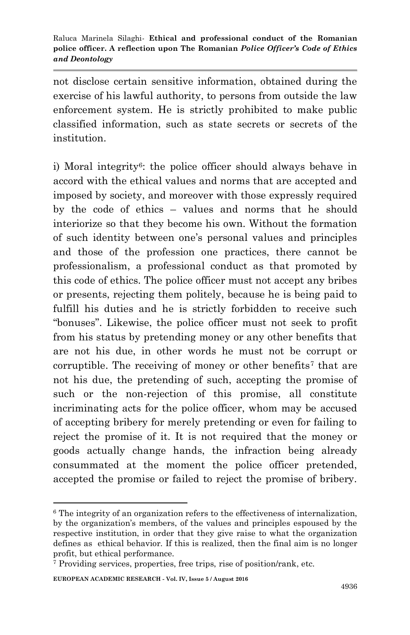not disclose certain sensitive information, obtained during the exercise of his lawful authority, to persons from outside the law enforcement system. He is strictly prohibited to make public classified information, such as state secrets or secrets of the institution.

i) Moral integrity<sup>6</sup>: the police officer should always behave in accord with the ethical values and norms that are accepted and imposed by society, and moreover with those expressly required by the code of ethics – values and norms that he should interiorize so that they become his own. Without the formation of such identity between one's personal values and principles and those of the profession one practices, there cannot be professionalism, a professional conduct as that promoted by this code of ethics. The police officer must not accept any bribes or presents, rejecting them politely, because he is being paid to fulfill his duties and he is strictly forbidden to receive such "bonuses". Likewise, the police officer must not seek to profit from his status by pretending money or any other benefits that are not his due, in other words he must not be corrupt or corruptible. The receiving of money or other benefits<sup>7</sup> that are not his due, the pretending of such, accepting the promise of such or the non-rejection of this promise, all constitute incriminating acts for the police officer, whom may be accused of accepting bribery for merely pretending or even for failing to reject the promise of it. It is not required that the money or goods actually change hands, the infraction being already consummated at the moment the police officer pretended, accepted the promise or failed to reject the promise of bribery.

 $6$  The integrity of an organization refers to the effectiveness of internalization, by the organization's members, of the values and principles espoused by the respective institution, in order that they give raise to what the organization defines as ethical behavior. If this is realized, then the final aim is no longer profit, but ethical performance.

<sup>7</sup> Providing services, properties, free trips, rise of position/rank, etc.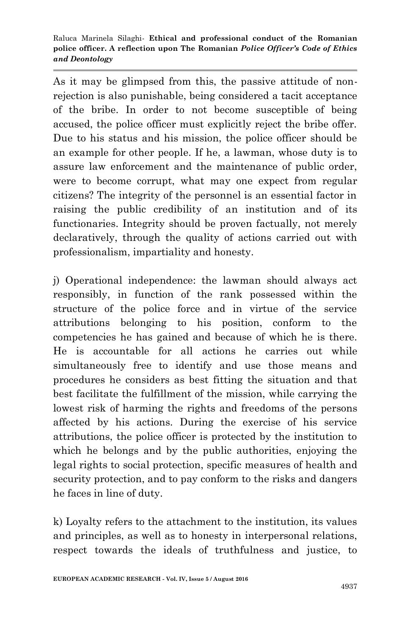As it may be glimpsed from this, the passive attitude of nonrejection is also punishable, being considered a tacit acceptance of the bribe. In order to not become susceptible of being accused, the police officer must explicitly reject the bribe offer. Due to his status and his mission, the police officer should be an example for other people. If he, a lawman, whose duty is to assure law enforcement and the maintenance of public order, were to become corrupt, what may one expect from regular citizens? The integrity of the personnel is an essential factor in raising the public credibility of an institution and of its functionaries. Integrity should be proven factually, not merely declaratively, through the quality of actions carried out with professionalism, impartiality and honesty.

j) Operational independence: the lawman should always act responsibly, in function of the rank possessed within the structure of the police force and in virtue of the service attributions belonging to his position, conform to the competencies he has gained and because of which he is there. He is accountable for all actions he carries out while simultaneously free to identify and use those means and procedures he considers as best fitting the situation and that best facilitate the fulfillment of the mission, while carrying the lowest risk of harming the rights and freedoms of the persons affected by his actions. During the exercise of his service attributions, the police officer is protected by the institution to which he belongs and by the public authorities, enjoying the legal rights to social protection, specific measures of health and security protection, and to pay conform to the risks and dangers he faces in line of duty.

k) Loyalty refers to the attachment to the institution, its values and principles, as well as to honesty in interpersonal relations, respect towards the ideals of truthfulness and justice, to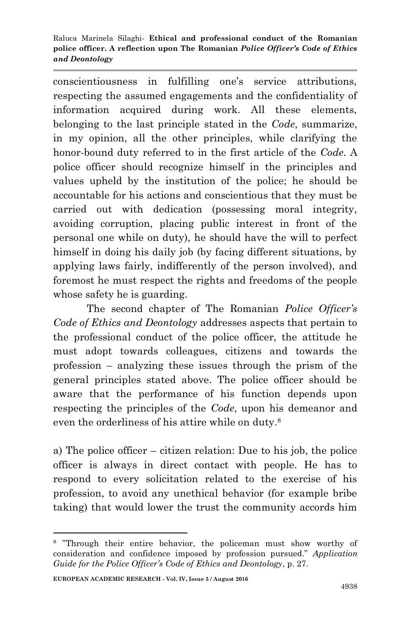conscientiousness in fulfilling one's service attributions, respecting the assumed engagements and the confidentiality of information acquired during work. All these elements, belonging to the last principle stated in the *Code*, summarize, in my opinion, all the other principles, while clarifying the honor-bound duty referred to in the first article of the *Code*. A police officer should recognize himself in the principles and values upheld by the institution of the police; he should be accountable for his actions and conscientious that they must be carried out with dedication (possessing moral integrity, avoiding corruption, placing public interest in front of the personal one while on duty), he should have the will to perfect himself in doing his daily job (by facing different situations, by applying laws fairly, indifferently of the person involved), and foremost he must respect the rights and freedoms of the people whose safety he is guarding.

The second chapter of The Romanian *Police Officer's Code of Ethics and Deontology* addresses aspects that pertain to the professional conduct of the police officer, the attitude he must adopt towards colleagues, citizens and towards the profession – analyzing these issues through the prism of the general principles stated above. The police officer should be aware that the performance of his function depends upon respecting the principles of the *Code*, upon his demeanor and even the orderliness of his attire while on duty.<sup>8</sup>

a) The police officer – citizen relation: Due to his job, the police officer is always in direct contact with people. He has to respond to every solicitation related to the exercise of his profession, to avoid any unethical behavior (for example bribe taking) that would lower the trust the community accords him

<sup>8</sup> "Through their entire behavior, the policeman must show worthy of consideration and confidence imposed by profession pursued." *Application Guide for the Police Officer's Code of Ethics and Deontology*, p. 27.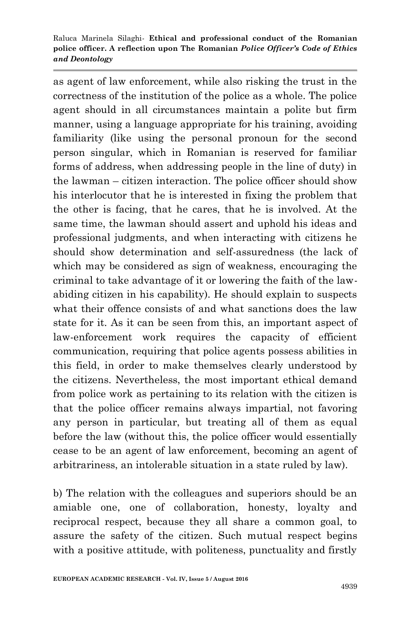as agent of law enforcement, while also risking the trust in the correctness of the institution of the police as a whole. The police agent should in all circumstances maintain a polite but firm manner, using a language appropriate for his training, avoiding familiarity (like using the personal pronoun for the second person singular, which in Romanian is reserved for familiar forms of address, when addressing people in the line of duty) in the lawman – citizen interaction. The police officer should show his interlocutor that he is interested in fixing the problem that the other is facing, that he cares, that he is involved. At the same time, the lawman should assert and uphold his ideas and professional judgments, and when interacting with citizens he should show determination and self-assuredness (the lack of which may be considered as sign of weakness, encouraging the criminal to take advantage of it or lowering the faith of the lawabiding citizen in his capability). He should explain to suspects what their offence consists of and what sanctions does the law state for it. As it can be seen from this, an important aspect of law-enforcement work requires the capacity of efficient communication, requiring that police agents possess abilities in this field, in order to make themselves clearly understood by the citizens. Nevertheless, the most important ethical demand from police work as pertaining to its relation with the citizen is that the police officer remains always impartial, not favoring any person in particular, but treating all of them as equal before the law (without this, the police officer would essentially cease to be an agent of law enforcement, becoming an agent of arbitrariness, an intolerable situation in a state ruled by law).

b) The relation with the colleagues and superiors should be an amiable one, one of collaboration, honesty, loyalty and reciprocal respect, because they all share a common goal, to assure the safety of the citizen. Such mutual respect begins with a positive attitude, with politeness, punctuality and firstly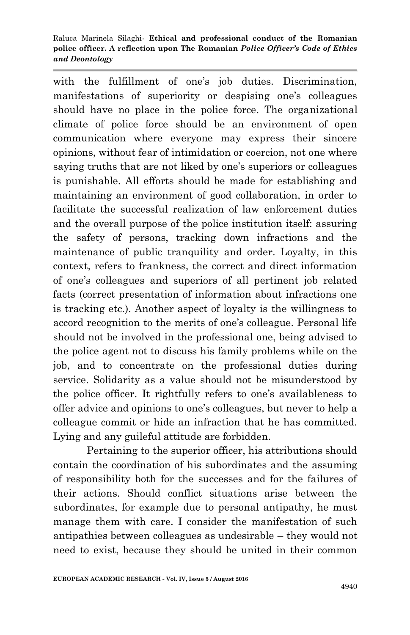with the fulfillment of one's job duties. Discrimination, manifestations of superiority or despising one's colleagues should have no place in the police force. The organizational climate of police force should be an environment of open communication where everyone may express their sincere opinions, without fear of intimidation or coercion, not one where saying truths that are not liked by one's superiors or colleagues is punishable. All efforts should be made for establishing and maintaining an environment of good collaboration, in order to facilitate the successful realization of law enforcement duties and the overall purpose of the police institution itself: assuring the safety of persons, tracking down infractions and the maintenance of public tranquility and order. Loyalty, in this context, refers to frankness, the correct and direct information of one's colleagues and superiors of all pertinent job related facts (correct presentation of information about infractions one is tracking etc.). Another aspect of loyalty is the willingness to accord recognition to the merits of one's colleague. Personal life should not be involved in the professional one, being advised to the police agent not to discuss his family problems while on the job, and to concentrate on the professional duties during service. Solidarity as a value should not be misunderstood by the police officer. It rightfully refers to one's availableness to offer advice and opinions to one's colleagues, but never to help a colleague commit or hide an infraction that he has committed. Lying and any guileful attitude are forbidden.

Pertaining to the superior officer, his attributions should contain the coordination of his subordinates and the assuming of responsibility both for the successes and for the failures of their actions. Should conflict situations arise between the subordinates, for example due to personal antipathy, he must manage them with care. I consider the manifestation of such antipathies between colleagues as undesirable – they would not need to exist, because they should be united in their common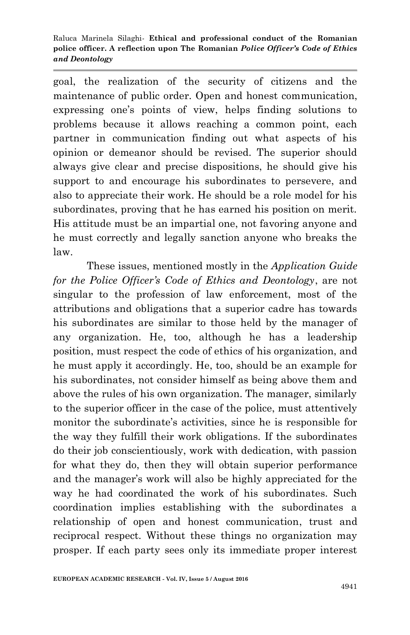goal, the realization of the security of citizens and the maintenance of public order. Open and honest communication, expressing one's points of view, helps finding solutions to problems because it allows reaching a common point, each partner in communication finding out what aspects of his opinion or demeanor should be revised. The superior should always give clear and precise dispositions, he should give his support to and encourage his subordinates to persevere, and also to appreciate their work. He should be a role model for his subordinates, proving that he has earned his position on merit. His attitude must be an impartial one, not favoring anyone and he must correctly and legally sanction anyone who breaks the law.

These issues, mentioned mostly in the *Application Guide for the Police Officer's Code of Ethics and Deontology*, are not singular to the profession of law enforcement, most of the attributions and obligations that a superior cadre has towards his subordinates are similar to those held by the manager of any organization. He, too, although he has a leadership position, must respect the code of ethics of his organization, and he must apply it accordingly. He, too, should be an example for his subordinates, not consider himself as being above them and above the rules of his own organization. The manager, similarly to the superior officer in the case of the police, must attentively monitor the subordinate's activities, since he is responsible for the way they fulfill their work obligations. If the subordinates do their job conscientiously, work with dedication, with passion for what they do, then they will obtain superior performance and the manager's work will also be highly appreciated for the way he had coordinated the work of his subordinates. Such coordination implies establishing with the subordinates a relationship of open and honest communication, trust and reciprocal respect. Without these things no organization may prosper. If each party sees only its immediate proper interest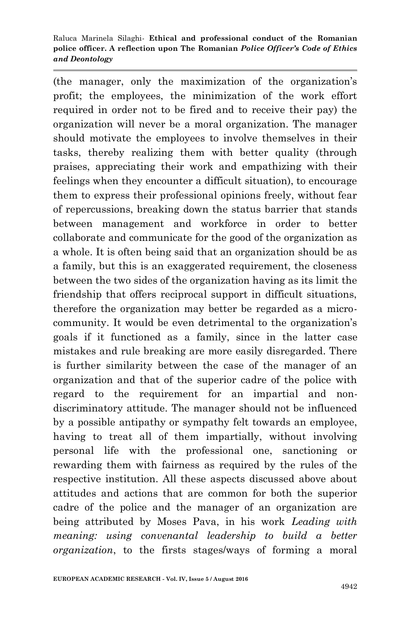(the manager, only the maximization of the organization's profit; the employees, the minimization of the work effort required in order not to be fired and to receive their pay) the organization will never be a moral organization. The manager should motivate the employees to involve themselves in their tasks, thereby realizing them with better quality (through praises, appreciating their work and empathizing with their feelings when they encounter a difficult situation), to encourage them to express their professional opinions freely, without fear of repercussions, breaking down the status barrier that stands between management and workforce in order to better collaborate and communicate for the good of the organization as a whole. It is often being said that an organization should be as a family, but this is an exaggerated requirement, the closeness between the two sides of the organization having as its limit the friendship that offers reciprocal support in difficult situations, therefore the organization may better be regarded as a microcommunity. It would be even detrimental to the organization's goals if it functioned as a family, since in the latter case mistakes and rule breaking are more easily disregarded. There is further similarity between the case of the manager of an organization and that of the superior cadre of the police with regard to the requirement for an impartial and nondiscriminatory attitude. The manager should not be influenced by a possible antipathy or sympathy felt towards an employee, having to treat all of them impartially, without involving personal life with the professional one, sanctioning or rewarding them with fairness as required by the rules of the respective institution. All these aspects discussed above about attitudes and actions that are common for both the superior cadre of the police and the manager of an organization are being attributed by Moses Pava, in his work *Leading with meaning: using convenantal leadership to build a better organization*, to the firsts stages/ways of forming a moral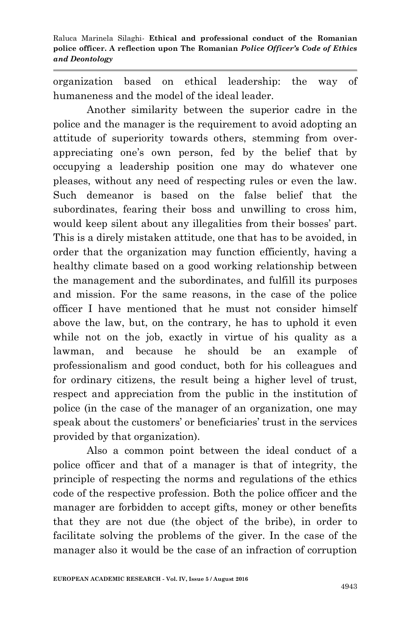organization based on ethical leadership: the way of humaneness and the model of the ideal leader.

Another similarity between the superior cadre in the police and the manager is the requirement to avoid adopting an attitude of superiority towards others, stemming from overappreciating one's own person, fed by the belief that by occupying a leadership position one may do whatever one pleases, without any need of respecting rules or even the law. Such demeanor is based on the false belief that the subordinates, fearing their boss and unwilling to cross him, would keep silent about any illegalities from their bosses' part. This is a direly mistaken attitude, one that has to be avoided, in order that the organization may function efficiently, having a healthy climate based on a good working relationship between the management and the subordinates, and fulfill its purposes and mission. For the same reasons, in the case of the police officer I have mentioned that he must not consider himself above the law, but, on the contrary, he has to uphold it even while not on the job, exactly in virtue of his quality as a lawman, and because he should be an example of professionalism and good conduct, both for his colleagues and for ordinary citizens, the result being a higher level of trust, respect and appreciation from the public in the institution of police (in the case of the manager of an organization, one may speak about the customers' or beneficiaries' trust in the services provided by that organization).

Also a common point between the ideal conduct of a police officer and that of a manager is that of integrity, the principle of respecting the norms and regulations of the ethics code of the respective profession. Both the police officer and the manager are forbidden to accept gifts, money or other benefits that they are not due (the object of the bribe), in order to facilitate solving the problems of the giver. In the case of the manager also it would be the case of an infraction of corruption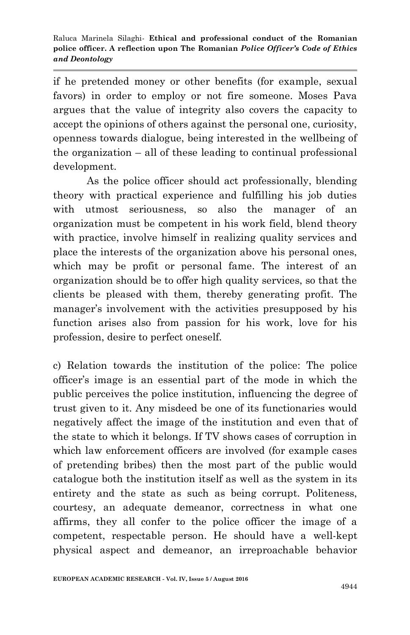if he pretended money or other benefits (for example, sexual favors) in order to employ or not fire someone. Moses Pava argues that the value of integrity also covers the capacity to accept the opinions of others against the personal one, curiosity, openness towards dialogue, being interested in the wellbeing of the organization – all of these leading to continual professional development.

As the police officer should act professionally, blending theory with practical experience and fulfilling his job duties with utmost seriousness, so also the manager of an organization must be competent in his work field, blend theory with practice, involve himself in realizing quality services and place the interests of the organization above his personal ones, which may be profit or personal fame. The interest of an organization should be to offer high quality services, so that the clients be pleased with them, thereby generating profit. The manager's involvement with the activities presupposed by his function arises also from passion for his work, love for his profession, desire to perfect oneself.

c) Relation towards the institution of the police: The police officer's image is an essential part of the mode in which the public perceives the police institution, influencing the degree of trust given to it. Any misdeed be one of its functionaries would negatively affect the image of the institution and even that of the state to which it belongs. If TV shows cases of corruption in which law enforcement officers are involved (for example cases of pretending bribes) then the most part of the public would catalogue both the institution itself as well as the system in its entirety and the state as such as being corrupt. Politeness, courtesy, an adequate demeanor, correctness in what one affirms, they all confer to the police officer the image of a competent, respectable person. He should have a well-kept physical aspect and demeanor, an irreproachable behavior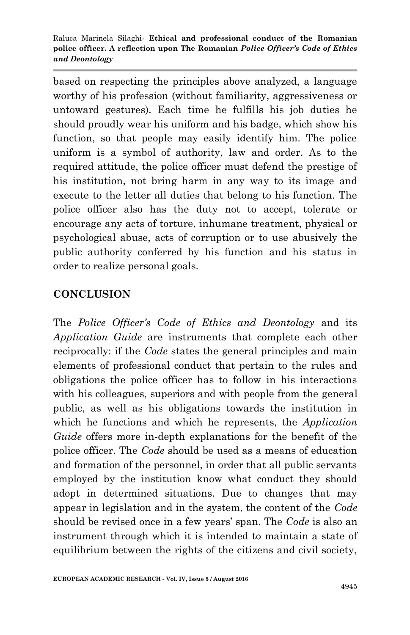based on respecting the principles above analyzed, a language worthy of his profession (without familiarity, aggressiveness or untoward gestures). Each time he fulfills his job duties he should proudly wear his uniform and his badge, which show his function, so that people may easily identify him. The police uniform is a symbol of authority, law and order. As to the required attitude, the police officer must defend the prestige of his institution, not bring harm in any way to its image and execute to the letter all duties that belong to his function. The police officer also has the duty not to accept, tolerate or encourage any acts of torture, inhumane treatment, physical or psychological abuse, acts of corruption or to use abusively the public authority conferred by his function and his status in order to realize personal goals.

### **CONCLUSION**

The *Police Officer's Code of Ethics and Deontology* and its *Application Guide* are instruments that complete each other reciprocally: if the *Code* states the general principles and main elements of professional conduct that pertain to the rules and obligations the police officer has to follow in his interactions with his colleagues, superiors and with people from the general public, as well as his obligations towards the institution in which he functions and which he represents, the *Application Guide* offers more in-depth explanations for the benefit of the police officer. The *Code* should be used as a means of education and formation of the personnel, in order that all public servants employed by the institution know what conduct they should adopt in determined situations. Due to changes that may appear in legislation and in the system, the content of the *Code* should be revised once in a few years' span. The *Code* is also an instrument through which it is intended to maintain a state of equilibrium between the rights of the citizens and civil society,